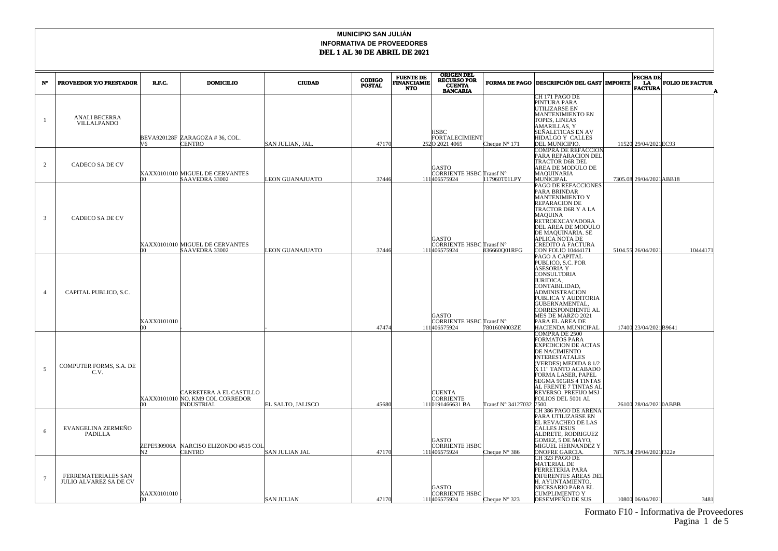## Formato F10 - Informativa de Proveedores Pagina 1 de 5

| $N^{\circ}$    | <b>PROVEEDOR Y/O PRESTADOR</b>                       | R.F.C.           | <b>DOMICILIO</b>                                                                 | <b>CIUDAD</b>     | <b>CODIGO</b><br><b>POSTAL</b> | <b>FUENTE DE</b><br><b>FINANCIAMIE</b><br><b>NTO</b> | <b>ORIGEN DEL<br/>RECURSO POR</b><br><b>CUENTA</b><br><b>BANCARIA</b> |                        | <b>FORMA DE PAGO DESCRIPCIÓN DEL GAST MPORTE</b>                                                                                                                                                                                                                                                          | <b>FECHA DE</b><br>LA<br><b>FACTURA</b> | <b>FOLIO DE FACTUR</b> |
|----------------|------------------------------------------------------|------------------|----------------------------------------------------------------------------------|-------------------|--------------------------------|------------------------------------------------------|-----------------------------------------------------------------------|------------------------|-----------------------------------------------------------------------------------------------------------------------------------------------------------------------------------------------------------------------------------------------------------------------------------------------------------|-----------------------------------------|------------------------|
| 1              | <b>ANALI BECERRA</b><br><b>VILLALPANDO</b>           | V6.              | BEVA920128F ZARAGOZA #36, COL.<br>CENTRO                                         | SAN JULIAN, JAL   | 47170                          |                                                      | HSBC<br>FORTALECIMIENT<br>2520 2021 4065                              | Cheque $N^{\circ}$ 171 | CH 171 PAGO DE<br>PINTURA PARA<br>UTILIZARSE EN<br><b>MANTENIMIENTO EN</b><br>TOPES, LINEAS<br><b>AMARILLAS, Y</b><br>SEÑALETICAS EN AV<br>HIDALGO Y CALLES<br>DEL MUNICIPIO.                                                                                                                             | 11520 29/04/2021 EC93                   |                        |
| $\overline{c}$ | <b>CADECO SA DE CV</b>                               | m                | XAXX0101010 MIGUEL DE CERVANTES<br>SAAVEDRA 33002                                | EON GUANAJUATO    | 37446                          |                                                      | GASTO<br>CORRIENTE HSBC Transf N°<br>111406575924                     | 117960T01LPY           | <b>COMPRA DE REFACCION</b><br>PARA REPARACION DEL<br><b>TRACTOR D6R DEL</b><br>AREA DE MODULO DE<br>MAQUINARIA<br>MUNICIPAL                                                                                                                                                                               | 7305.08 29/04/2021 ABB18                |                        |
| 3              | <b>CADECO SA DE CV</b>                               | m                | XAXX0101010 MIGUEL DE CERVANTES<br>SAAVEDRA 33002                                | EON GUANAJUATO    | 37446                          |                                                      | GASTO<br>CORRIENTE HSBC Transf N°<br>111406575924                     | 836660Q01RFG           | PAGO DE REFACCIONES<br>PARA BRINDAR<br>MANTENIMIENTO Y<br><b>REPARACION DE</b><br>TRACTOR D6R Y A LA<br><b>MAQUINA</b><br><b>RETROEXCAVADORA</b><br>DEL AREA DE MODULO<br>DE MAQUINARIA. SE<br>APLICA NOTA DE<br>CREDITO A FACTURA<br>CON FOLIO 10444171                                                  | 5104.55 26/04/2021                      | 10444171               |
| $\overline{4}$ | CAPITAL PUBLICO, S.C.                                | XAXX0101010<br>m |                                                                                  |                   | 47474                          |                                                      | GASTO<br>CORRIENTE HSBC Transf N°<br>111406575924                     | 780160N003ZE           | PAGO A CAPITAL<br>PUBLICO, S.C. POR<br><b>ASESORIA Y</b><br>CONSULTORIA<br><b>JURIDICA.</b><br>CONTABILIDAD,<br><b>ADMINISTRACION</b><br>PUBLICA Y AUDITORIA<br><b>GUBERNAMENTAL</b><br>CORRESPONDIENTE AL<br>MES DE MARZO 2021<br>PARA EL AREA DE<br>HACIENDA MUNICIPAL                                  | 17400 23/04/2021 B9641                  |                        |
| $\overline{5}$ | COMPUTER FORMS, S.A. DE<br>C.V.                      | no.              | CARRETERA A EL CASTILLO<br>XAXX0101010 NO. KM9 COL CORREDOR<br><b>INDUSTRIAL</b> | EL SALTO. JALISCO | 45680                          |                                                      | <b>CUENTA</b><br>CORRIENTE<br>1110191466631 BA                        | Transf N° 34127032     | <b>COMPRA DE 2500</b><br><b>FORMATOS PARA</b><br><b>EXPEDICION DE ACTAS</b><br>DE NACIMIENTO<br><b>INTERESTATALES</b><br>(VERDES) MEDIDA 8 1/2<br>X 11" TANTO ACABADO<br>FORMA LASER, PAPEL<br><b>SEGMA 90GRS 4 TINTAS</b><br>AL FRENTE 7 TINTAS AI<br>REVERSO. PREFIJO MSJ<br>FOLIOS DEL 5001 AL<br>7500 | 26100 28/04/20210ABBB                   |                        |
| 6              | EVANGELINA ZERMEÑO<br><b>PADILLA</b>                 | N <sub>2</sub>   | ZEPE530906A NARCISO ELIZONDO #515 COI<br><b>CENTRO</b>                           | SAN JULIAN JAL    | 47170                          |                                                      | <b>GASTO</b><br>CORRIENTE HSBC<br>111406575924                        | Cheque $N^{\circ}$ 386 | CH 386 PAGO DE ARENA<br>PARA UTILIZARSE EN<br>EL REVACHEO DE LAS<br><b>CALLES JESUS</b><br>ALDRETE, RODRIGUEZ<br>GOMEZ, 5 DE MAYO,<br>MIGUEL HERNANDEZ Y<br><b>ONOFRE GARCIA.</b>                                                                                                                         | 7875.34 29/04/2021 322e                 |                        |
| $\overline{7}$ | FERREMATERIALES SAN<br><b>JULIO ALVAREZ SA DE CV</b> | XAXX0101010      |                                                                                  | <b>SAN JULIAN</b> | 47170                          |                                                      | GASTO<br><b>CORRIENTE HSBC</b><br>111406575924                        | Cheque $N^{\circ}$ 323 | CH 323 PAGO DE<br><b>MATERIAL DE</b><br><b>FERRETERIA PARA</b><br><b>DIFERENTES AREAS DEI</b><br>H. AYUNTAMIENTO,<br>NECESARIO PARA EL<br>CUMPLIMIENTO Y<br>DESEMPENO DE SUS                                                                                                                              | 10800 06/04/2021                        | 3481                   |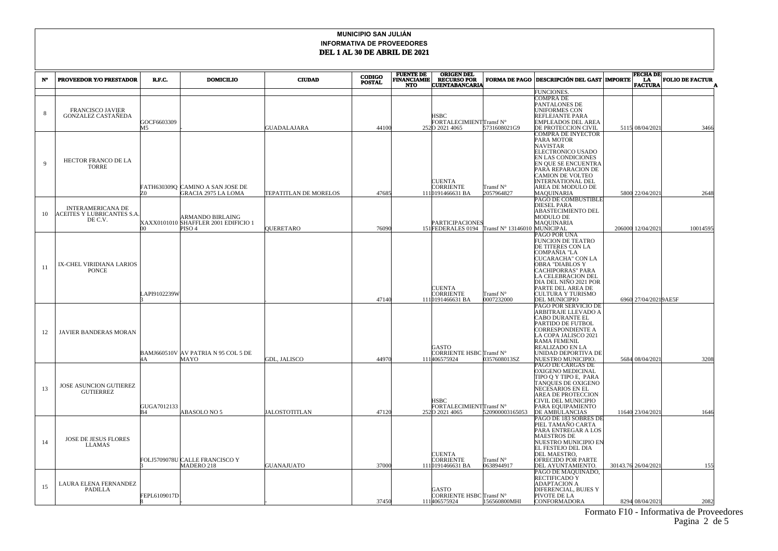|             |                                                                          |                   |                                                                               |                              | <b>CODIGO</b> | <b>FUENTE DE</b>                 | <b>ORIGEN DEL</b>                                                 |                         |                                                                                                                                                                                                                                                      | <b>FECHA DE</b>      |                        |
|-------------|--------------------------------------------------------------------------|-------------------|-------------------------------------------------------------------------------|------------------------------|---------------|----------------------------------|-------------------------------------------------------------------|-------------------------|------------------------------------------------------------------------------------------------------------------------------------------------------------------------------------------------------------------------------------------------------|----------------------|------------------------|
| $N^{\circ}$ | PROVEEDOR Y/O PRESTADOR                                                  | R.F.C.            | <b>DOMICILIO</b>                                                              | <b>CIUDAD</b>                | <b>POSTAL</b> | <b>FINANCIAMIE</b><br><b>NTO</b> | <b>RECURSO POR</b><br><b>CUENTABANCARIA</b>                       | <b>FORMA DE PAGO</b>    | <b>DESCRIPCIÓN DEL GAST MPORTE</b>                                                                                                                                                                                                                   | LA<br>FACTURA        | <b>FOLIO DE FACTUR</b> |
|             |                                                                          |                   |                                                                               |                              |               |                                  |                                                                   |                         | FUNCIONES.                                                                                                                                                                                                                                           |                      |                        |
| 8           | <b>FRANCISCO JAVIER</b><br><b>GONZALEZ CASTAÑEDA</b>                     | GOCF6603309<br>M5 |                                                                               | GUADALAJARA                  | 44100         |                                  | <b>HSBC</b><br>FORTALECIMIENTTransf N°<br>2520 2021 4065          | 5731608021G9            | <b>COMPRA DE</b><br>PANTALONES DE<br>UNIFORMES CON<br>REFLEJANTE PARA<br><b>EMPLEADOS DEL AREA</b><br>DE PROTECCION CIVIL                                                                                                                            | 5115 08/04/2021      | 3466                   |
| $\mathbf Q$ | HECTOR FRANCO DE LA<br><b>TORRE</b>                                      | 70.               | FATH630309Q CAMINO A SAN JOSE DE<br><b>GRACIA 2975 LA LOMA</b>                | <b>TEPATITLAN DE MORELOS</b> | 47685         |                                  | CUENTA<br>CORRIENTE<br>1110191466631 BA                           | Transf N°<br>2057964827 | COMPRA DE INYECTOR<br>PARA MOTOR<br><b>NAVISTAR</b><br>ELECTRONICO USADO<br>EN LAS CONDICIONES<br>EN QUE SE ENCUENTRA<br>PARA REPARACION DE<br>CAMION DE VOLTEO<br><b>INTERNATIONAL DEL</b><br>AREA DE MODULO DE<br>MAQUINARIA                       | 5800 22/04/2021      | 2648                   |
| 10          | <b>INTERAMERICANA DE</b><br><b>ACEITES Y LUBRICANTES S.A.</b><br>DE C.V. | m                 | ARMANDO BIRLAING<br>XAXX0101010 SHAFFLER 2001 EDIFICIO 1<br>PISO <sub>4</sub> | <b>QUERETARO</b>             | 76090         |                                  | PARTICIPACIONES<br>151FEDERALES 0194 Transf N° 13146010 MUNICIPAL |                         | PAGO DE COMBUSTIBLE<br>DIESEL PARA<br><b>ABASTECIMIENTO DEL</b><br>MODULO DE<br><b>MAOUINARIA</b>                                                                                                                                                    | 206000 12/04/2021    | 10014595               |
| -11         | IX-CHEL VIRIDIANA LARIOS<br><b>PONCE</b>                                 | LAPI9102239W      |                                                                               |                              | 47140         |                                  | <b>CUENTA</b><br><b>CORRIENTE</b><br>1110191466631 BA             | Transf N°<br>0007232000 | PAGO POR UNA<br>FUNCION DE TEATRO<br>DE TITERES CON LA<br>COMPAÑIA "LA<br>CUCARACHA" CON LA<br>OBRA "DIABLOS Y<br>CACHIPORRAS" PARA<br>LA CELEBRACION DEL<br>DIA DEL NIÑO 2021 POR<br>PARTE DEL AREA DE<br>CULTURA Y TURISMO<br><b>DEL MUNICIPIO</b> | 6960 27/04/20219AE5F |                        |
| 12          | JAVIER BANDERAS MORAN                                                    | 4A                | BAMJ660510V AV PATRIA N 95 COL 5 DE<br>MAYO                                   | GDL, JALISCO                 | 44970         |                                  | GASTO<br>CORRIENTE HSBC Transf $N^{\circ}$<br>111406575924        | 0357608013SZ            | PAGO POR SERVICIO DE<br>ARBITRAJE LLEVADO A<br>CABO DURANTE EL<br>PARTIDO DE FUTBOL<br><b>CORRESPONDIENTE A</b><br>LA COPA JALISCO 2021<br>RAMA FEMENIL<br>REALIZADO EN LA<br>UNIDAD DEPORTIVA DE<br>NUESTRO MUNICIPIO.                              | 5684 08/04/2021      | 3208                   |
| 13          | JOSE ASUNCION GUTIEREZ<br><b>GUTIERREZ</b>                               | GUGA7012133<br>B4 | ABASOLO NO 5                                                                  | <b>JALOSTOTITLAN</b>         | 47120         |                                  | <b>HSBC</b><br>FORTALECIMIENTTransf N°<br>2520 2021 4065          | 520900003165053         | PAGO DE CARGAS DE<br>OXIGENO MEDICINAL<br>TIPO O Y TIPO E, PARA<br><b>TANQUES DE OXIGENO</b><br>NECESARIOS EN EL<br><b>AREA DE PROTECCION</b><br>CIVIL DEL MUNICIPIO<br>PARA EQUIPAMIENTO<br>DE AMBULANCIAS                                          | 11640 23/04/2021     | 1646                   |
| 14          | <b>JOSE DE JESUS FLORES</b><br><b>LLAMAS</b>                             |                   | FOLJ5709078U CALLE FRANCISCO Y<br>MADERO 218                                  | GUANAJUATO                   | 37000         |                                  | <b>CUENTA</b><br>CORRIENTE<br>1110191466631 BA                    | Transf N°<br>0638944917 | PAGO DE 183 SOBRES DE<br>PIEL TAMAÑO CARTA<br>PARA ENTREGAR A LOS<br><b>MAESTROS DE</b><br>NUESTRO MUNICIPIO EN<br>EL FESTEJO DEL DIA<br>DEL MAESTRO.<br>OFRECIDO POR PARTE<br>DEL AYUNTAMIENTO.                                                     | 30143.76 26/04/2021  | 155                    |
| 15          | LAURA ELENA FERNANDEZ<br>PADILLA                                         | FEPL6109017D      |                                                                               |                              | 37450         |                                  | GASTO<br>CORRIENTE HSBC Transf N°<br>111406575924                 | 156560800MHI            | PAGO DE MAQUINADO,<br>RECTIFICADO Y<br>ADAPTACION A<br>DIFERENCIAL, BUJES Y<br>PIVOTE DE LA<br>CONFORMADORA                                                                                                                                          | 8294 08/04/2021      | 2082                   |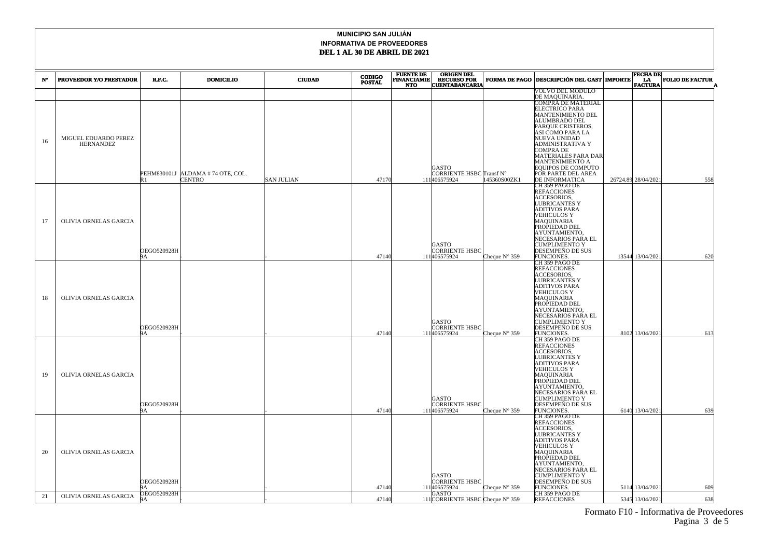|    |                                          |                    |                                  |                   | <b>CODIGO</b> | <b>FUENTE DE</b>                 | <b>ORIGEN DEL</b>                           |                                             |                                                     |                                             | <b>FECHA DE</b>  |                        |  |
|----|------------------------------------------|--------------------|----------------------------------|-------------------|---------------|----------------------------------|---------------------------------------------|---------------------------------------------|-----------------------------------------------------|---------------------------------------------|------------------|------------------------|--|
| N° | PROVEEDOR Y/O PRESTADOR                  | R.F.C.             | <b>DOMICILIO</b>                 | <b>CIUDAD</b>     | <b>POSTAL</b> | <b>FINANCIAMIE</b><br><b>NTO</b> | <b>RECURSO POR</b><br><b>CUENTABANCARIA</b> |                                             | FORMA DE PAGO DESCRIPCIÓN DEL GAST MPORTE           |                                             | <b>FACTURA</b>   | <b>FOLIO DE FACTUR</b> |  |
|    |                                          |                    |                                  |                   |               |                                  |                                             |                                             | <b>VOLVO DEL MODULO</b>                             |                                             |                  |                        |  |
|    |                                          |                    |                                  |                   |               |                                  |                                             |                                             | DE MAQUINARIA.<br>COMPRA DE MATERIAL                |                                             |                  |                        |  |
|    |                                          |                    |                                  |                   |               |                                  |                                             |                                             | ELECTRICO PARA                                      |                                             |                  |                        |  |
|    |                                          |                    |                                  |                   |               |                                  |                                             |                                             | MANTENIMIENTO DEL                                   |                                             |                  |                        |  |
|    |                                          |                    |                                  |                   |               |                                  |                                             |                                             | <b>ALUMBRADO DEL</b><br>PARQUE CRISTEROS,           |                                             |                  |                        |  |
|    |                                          |                    |                                  |                   |               |                                  |                                             |                                             | ASI COMO PARA LA                                    |                                             |                  |                        |  |
| 16 | MIGUEL EDUARDO PEREZ<br><b>HERNANDEZ</b> |                    |                                  |                   |               |                                  |                                             |                                             | NUEVA UNIDAD<br>ADMINISTRATIVA Y                    |                                             |                  |                        |  |
|    |                                          |                    |                                  |                   |               |                                  |                                             |                                             | COMPRA DE                                           |                                             |                  |                        |  |
|    |                                          |                    |                                  |                   |               |                                  |                                             |                                             | <b>MATERIALES PARA DAR</b>                          |                                             |                  |                        |  |
|    |                                          |                    |                                  |                   |               |                                  | GASTO                                       |                                             | <b>MANTENIMIENTO A</b><br><b>EQUIPOS DE COMPUTO</b> |                                             |                  |                        |  |
|    |                                          |                    | PEHM830101J ALDAMA #74 OTE, COL. |                   |               |                                  | CORRIENTE HSBC Transf $\mathrm{N}^\circ$    |                                             | POR PARTE DEL AREA                                  |                                             |                  |                        |  |
|    |                                          | R <sub>1</sub>     | <b>CENTRO</b>                    | <b>SAN JULIAN</b> | 47170         |                                  | 111406575924                                | 145360S00ZK1                                | DE INFORMATICA<br>CH 359 PAGO DE                    | 26724.89 28/04/2021                         |                  | 558                    |  |
|    |                                          |                    |                                  |                   |               |                                  |                                             |                                             | <b>REFACCIONES</b>                                  |                                             |                  |                        |  |
|    |                                          |                    |                                  |                   |               |                                  |                                             |                                             | <b>ACCESORIOS.</b><br>LUBRICANTES Y                 |                                             |                  |                        |  |
|    |                                          |                    |                                  |                   |               |                                  |                                             |                                             | <b>ADITIVOS PARA</b>                                |                                             |                  |                        |  |
|    |                                          |                    |                                  |                   |               |                                  |                                             |                                             | <b>VEHICULOS Y</b>                                  |                                             |                  |                        |  |
| 17 | OLIVIA ORNELAS GARCIA                    |                    |                                  |                   |               |                                  |                                             |                                             | <b>MAQUINARIA</b><br>PROPIEDAD DEL                  |                                             |                  |                        |  |
|    |                                          |                    |                                  |                   |               |                                  |                                             |                                             | AYUNTAMIENTO,                                       |                                             |                  |                        |  |
|    |                                          |                    |                                  |                   |               |                                  |                                             | GASTO                                       |                                                     | NECESARIOS PARA EL<br><b>CUMPLIMIENTO Y</b> |                  |                        |  |
|    |                                          | <b>OEGO520928H</b> |                                  |                   |               |                                  | <b>CORRIENTE HSBC</b>                       |                                             | DESEMPEÑO DE SUS                                    |                                             |                  |                        |  |
|    |                                          | 9A                 |                                  |                   | 47140         |                                  | 111406575924                                | Cheque $N^{\circ}$ 359                      | FUNCIONES.                                          |                                             | 13544 13/04/2021 | 620                    |  |
|    |                                          |                    |                                  |                   |               |                                  |                                             |                                             | CH 359 PAGO DE<br><b>REFACCIONES</b>                |                                             |                  |                        |  |
|    |                                          |                    |                                  |                   |               |                                  |                                             |                                             | ACCESORIOS.                                         |                                             |                  |                        |  |
|    |                                          |                    |                                  |                   |               |                                  |                                             |                                             | LUBRICANTES Y<br>ADITIVOS PARA                      |                                             |                  |                        |  |
|    |                                          |                    |                                  |                   |               |                                  |                                             |                                             | <b>VEHICULOS Y</b>                                  |                                             |                  |                        |  |
| 18 | OLIVIA ORNELAS GARCIA                    |                    |                                  |                   |               |                                  |                                             |                                             | <b>MAQUINARIA</b><br>PROPIEDAD DEL                  |                                             |                  |                        |  |
|    |                                          |                    |                                  |                   |               |                                  |                                             |                                             | AYUNTAMIENTO.                                       |                                             |                  |                        |  |
|    |                                          |                    |                                  |                   |               | GASTO                            |                                             | NECESARIOS PARA EL<br><b>CUMPLIMIENTO Y</b> |                                                     |                                             |                  |                        |  |
|    |                                          | <b>OEGO520928H</b> |                                  |                   |               |                                  | CORRIENTE HSBC                              |                                             | DESEMPEÑO DE SUS                                    |                                             |                  |                        |  |
|    |                                          | 9А                 |                                  |                   | 47140         |                                  | 111406575924                                | Cheque N° 359                               | FUNCIONES.                                          |                                             | 8102 13/04/202   | 613                    |  |
|    |                                          |                    |                                  |                   |               |                                  |                                             |                                             | CH 359 PAGO DE<br><b>REFACCIONES</b>                |                                             |                  |                        |  |
|    |                                          |                    |                                  |                   |               |                                  |                                             |                                             | <b>ACCESORIOS,</b>                                  |                                             |                  |                        |  |
|    |                                          |                    |                                  |                   |               |                                  |                                             |                                             | LUBRICANTES Y<br><b>ADITIVOS PARA</b>               |                                             |                  |                        |  |
|    |                                          |                    |                                  |                   |               |                                  |                                             |                                             | <b>VEHICULOS Y</b>                                  |                                             |                  |                        |  |
| 19 | OLIVIA ORNELAS GARCIA                    |                    |                                  |                   |               |                                  |                                             |                                             | MAQUINARIA<br>PROPIEDAD DEL                         |                                             |                  |                        |  |
|    |                                          |                    |                                  |                   |               |                                  |                                             |                                             | AYUNTAMIENTO,                                       |                                             |                  |                        |  |
|    |                                          |                    |                                  |                   |               |                                  | GASTO                                       |                                             | NECESARIOS PARA EL<br>CUMPLIMIENTO Y                |                                             |                  |                        |  |
|    |                                          | <b>OEGO520928H</b> |                                  |                   |               |                                  | CORRIENTE HSBC                              |                                             | DESEMPEÑO DE SUS                                    |                                             |                  |                        |  |
|    |                                          | 9A                 |                                  |                   | 47140         |                                  | 111406575924                                | Cheque $N^{\circ}$ 359                      | FUNCIONES.                                          |                                             | 6140 13/04/2021  | 639                    |  |
|    |                                          |                    |                                  |                   |               |                                  |                                             |                                             | CH 359 PAGO DE<br><b>REFACCIONES</b>                |                                             |                  |                        |  |
|    |                                          |                    |                                  |                   |               |                                  |                                             |                                             | ACCESORIOS,                                         |                                             |                  |                        |  |
|    |                                          |                    |                                  |                   |               |                                  |                                             |                                             | LUBRICANTES Y<br><b>ADITIVOS PARA</b>               |                                             |                  |                        |  |
|    |                                          |                    |                                  |                   |               |                                  |                                             |                                             | <b>VEHICULOS Y</b>                                  |                                             |                  |                        |  |
| 20 | OLIVIA ORNELAS GARCIA                    |                    |                                  |                   |               |                                  |                                             |                                             | <b>MAQUINARIA</b><br>PROPIEDAD DEL                  |                                             |                  |                        |  |
|    |                                          |                    |                                  |                   |               |                                  |                                             |                                             | AYUNTAMIENTO.                                       |                                             |                  |                        |  |
|    |                                          |                    |                                  |                   |               |                                  | GASTO                                       |                                             | NECESARIOS PARA EL<br>CUMPLIMIENTO Y                |                                             |                  |                        |  |
|    |                                          | <b>OEGO520928H</b> |                                  |                   |               |                                  | CORRIENTE HSBC                              |                                             | DESEMPEÑO DE SUS                                    |                                             |                  |                        |  |
|    |                                          | OEGO520928H        |                                  |                   | 47140         |                                  | 111406575924<br>GASTO                       | Cheque N° 359                               | FUNCIONES.<br>CH 359 PAGO DE                        |                                             | 5114 13/04/2021  | 609                    |  |
| 21 | OLIVIA ORNELAS GARCIA                    |                    |                                  |                   | 47140         |                                  | 111 CORRIENTE HSBC Cheque N° 359            |                                             | <b>REFACCIONES</b>                                  |                                             | 5345 13/04/2021  | 638                    |  |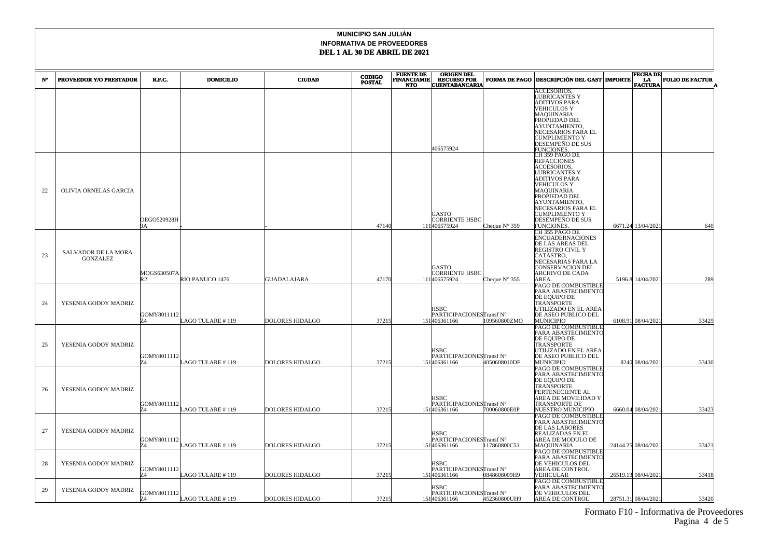| N° | PROVEEDOR Y/O PRESTADOR                | R.F.C.            | <b>DOMICILIO</b>  | <b>CIUDAD</b>          | <b>CODIGO</b><br><b>POSTAL</b> | <b>FUENTE DE<br/>FINANCIAMIE</b> | <b>ORIGEN DEL<br/>RECURSO POR</b>        | <b>FORMA DE PAGO</b>   | <b>DESCRIPCIÓN DEL GAST MPORTE</b>         | <b>FECHA DE</b><br>LA | <b>FOLIO DE FACTUR</b> |
|----|----------------------------------------|-------------------|-------------------|------------------------|--------------------------------|----------------------------------|------------------------------------------|------------------------|--------------------------------------------|-----------------------|------------------------|
|    |                                        |                   |                   |                        |                                | <b>NTO</b>                       | <b>CUENTABANCARIA</b>                    |                        | ACCESORIOS.                                | <b>FACTURA</b>        |                        |
|    |                                        |                   |                   |                        |                                |                                  |                                          |                        | LUBRICANTES Y                              |                       |                        |
|    |                                        |                   |                   |                        |                                |                                  |                                          |                        | ADITIVOS PARA                              |                       |                        |
|    |                                        |                   |                   |                        |                                |                                  |                                          |                        | VEHICULOS Y<br>MAQUINARIA                  |                       |                        |
|    |                                        |                   |                   |                        |                                |                                  |                                          |                        | PROPIEDAD DEL                              |                       |                        |
|    |                                        |                   |                   |                        |                                |                                  |                                          |                        | AYUNTAMIENTO,<br>NECESARIOS PARA EL        |                       |                        |
|    |                                        |                   |                   |                        |                                |                                  |                                          |                        | CUMPLIMIENTO Y                             |                       |                        |
|    |                                        |                   |                   |                        |                                |                                  | 406575924                                |                        | DESEMPEÑO DE SUS                           |                       |                        |
|    |                                        |                   |                   |                        |                                |                                  |                                          |                        | FUNCIONES<br>CH 359 PAGO DE                |                       |                        |
|    |                                        |                   |                   |                        |                                |                                  |                                          |                        | REFACCIONES                                |                       |                        |
|    |                                        |                   |                   |                        |                                |                                  |                                          |                        | <b>ACCESORIOS,</b><br><b>LUBRICANTES Y</b> |                       |                        |
|    |                                        |                   |                   |                        |                                |                                  |                                          |                        | ADITIVOS PARA                              |                       |                        |
|    |                                        |                   |                   |                        |                                |                                  |                                          |                        | VEHICULOS Y                                |                       |                        |
| 22 | OLIVIA ORNELAS GARCIA                  |                   |                   |                        |                                |                                  |                                          |                        | MAQUINARIA<br>PROPIEDAD DEL                |                       |                        |
|    |                                        |                   |                   |                        |                                |                                  |                                          |                        | AYUNTAMIENTO,                              |                       |                        |
|    |                                        |                   |                   |                        |                                |                                  | <b>GASTO</b>                             |                        | NECESARIOS PARA EL<br>CUMPLIMIENTO Y       |                       |                        |
|    |                                        | OEGO520928H       |                   |                        |                                |                                  | <b>CORRIENTE HSBC</b>                    |                        | DESEMPEÑO DE SUS                           |                       |                        |
|    |                                        | 9Α                |                   |                        | 47140                          |                                  | 111406575924                             | Cheque $N^{\circ}$ 359 | <b>FUNCIONES</b>                           | 6671.24 13/04/2021    | 640                    |
|    |                                        |                   |                   |                        |                                |                                  |                                          |                        | CH 355 PAGO DE<br><b>ENCUADERNACIONES</b>  |                       |                        |
|    | SALVADOR DE LA MORA<br><b>GONZALEZ</b> |                   |                   |                        |                                |                                  |                                          |                        | DE LAS AREAS DEL                           |                       |                        |
| 23 |                                        |                   |                   |                        |                                |                                  |                                          |                        | REGISTRO CIVIL Y<br>CATASTRO,              |                       |                        |
|    |                                        |                   |                   |                        |                                |                                  |                                          |                        | NECESARIAS PARA LA                         |                       |                        |
|    |                                        |                   |                   |                        |                                |                                  | GASTO                                    |                        | CONSERVACION DEL                           |                       |                        |
|    |                                        | MOGS630507A<br>R2 | RIO PANUCO 1476   | <b>GUADALAJARA</b>     | 47170                          |                                  | <b>CORRIENTE HSBC</b><br>111406575924    | Cheque $N^{\circ}$ 355 | ARCHIVO DE CADA<br>AREA.                   | 5196.8 14/04/2021     | 289                    |
|    |                                        |                   |                   |                        |                                |                                  |                                          |                        | PAGO DE COMBUSTIBLE                        |                       |                        |
|    |                                        |                   |                   |                        |                                |                                  |                                          |                        | PARA ABASTECIMIENTO                        |                       |                        |
| 24 | YESENIA GODOY MADRIZ                   |                   |                   |                        |                                |                                  |                                          |                        | DE EQUIPO DE<br>TRANSPORTE                 |                       |                        |
|    |                                        |                   |                   |                        |                                |                                  | HSBC                                     |                        | UTILIZADO EN EL AREA                       |                       |                        |
|    |                                        | GOMY8011112<br>74 | LAGO TULARE #119  | <b>DOLORES HIDALGO</b> | 37215                          |                                  | PARTICIPACIONESTransf N°<br>151406361166 | 109560800ZMO           | DE ASEO PUBLICO DEL<br><b>MUNICIPIO</b>    | 6108.91 08/04/2021    | 33429                  |
|    |                                        |                   |                   |                        |                                |                                  |                                          |                        | PAGO DE COMBUSTIBLE                        |                       |                        |
|    |                                        |                   |                   |                        |                                |                                  |                                          |                        | PARA ABASTECIMIENTC                        |                       |                        |
| 25 | YESENIA GODOY MADRIZ                   |                   |                   |                        |                                |                                  |                                          |                        | DE EQUIPO DE<br>TRANSPORTE                 |                       |                        |
|    |                                        |                   |                   |                        |                                |                                  | <b>HSBC</b>                              |                        | <b>JTILIZADO EN EL AREA</b>                |                       |                        |
|    |                                        | GOMY8011112<br>74 | AGO TULARE # 119  | <b>DOLORES HIDALGO</b> | 37215                          |                                  | PARTICIPACIONESTransf N°<br>151406361166 | 4050608010DF           | DE ASEO PUBLICO DEL<br>MUNICIPIO           | 8240 08/04/2021       | 33430                  |
|    |                                        |                   |                   |                        |                                |                                  |                                          |                        | PAGO DE COMBUSTIBLE                        |                       |                        |
|    |                                        |                   |                   |                        |                                |                                  |                                          |                        | PARA ABASTECIMIENTO                        |                       |                        |
|    |                                        |                   |                   |                        |                                |                                  |                                          |                        | DE EQUIPO DE<br>TRANSPORTE                 |                       |                        |
| 26 | YESENIA GODOY MADRIZ                   |                   |                   |                        |                                |                                  |                                          |                        | PERTENECIENTE AL                           |                       |                        |
|    |                                        | GOMY8011112       |                   |                        |                                |                                  | <b>HSBC</b><br>PARTICIPACIONESTransf N°  |                        | AREA DE MOVILIDAD Y<br>TRANSPORTE DE       |                       |                        |
|    |                                        | 74                | AGO TULARE #119   | <b>DOLORES HIDALGO</b> | 37215                          |                                  | 151406361166                             | 700060800E0P           | NUESTRO MUNICIPIO                          | 6660.04 08/04/2021    | 33423                  |
|    |                                        |                   |                   |                        |                                |                                  |                                          |                        | PAGO DE COMBUSTIBLE                        |                       |                        |
|    |                                        |                   |                   |                        |                                |                                  |                                          |                        | PARA ABASTECIMIENTO<br>DE LAS LABORES      |                       |                        |
| 27 | YESENIA GODOY MADRIZ                   |                   |                   |                        |                                |                                  | <b>HSBC</b>                              |                        | REALIZADAS EN EL                           |                       |                        |
|    |                                        | GOMY8011112<br>74 | AGO TULARE #119   | <b>DOLORES HIDALGO</b> | 37215                          |                                  | PARTICIPACIONESTransf N°<br>151406361166 | 117860800C51           | AREA DE MODULO DE<br>MAQUINARIA            | 24144.25 08/04/2021   | 33421                  |
|    |                                        |                   |                   |                        |                                |                                  |                                          |                        | PAGO DE COMBUSTIBLE                        |                       |                        |
|    |                                        |                   |                   |                        |                                |                                  |                                          |                        | PARA ABASTECIMIENTO                        |                       |                        |
| 28 | YESENIA GODOY MADRIZ                   | GOMY8011112       |                   |                        |                                |                                  | <b>HSBC</b><br>PARTICIPACIONESTransf N°  |                        | DE VEHICULOS DEL<br>AREA DE CONTROL        |                       |                        |
|    |                                        |                   | AGO TULARE # 119  | DOLORES HIDALGO        | 37215                          |                                  | 151406361166                             | 0848608009H9           | VEHICULAR                                  | 26519.13 08/04/2021   | 33418                  |
|    |                                        |                   |                   |                        |                                |                                  |                                          |                        | PAGO DE COMBUSTIBLE                        |                       |                        |
| 29 | YESENIA GODOY MADRIZ                   | GOMY8011112       |                   |                        |                                |                                  | <b>HSBC</b><br>PARTICIPACIONESTransf N°  |                        | PARA ABASTECIMIENTO<br>DE VEHICULOS DEL    |                       |                        |
|    |                                        |                   | LAGO TULARE # 119 | DOLORES HIDALGO        | 37215                          |                                  | 151406361166                             | 452360800UH9           | AREA DE CONTROL                            | 28751.31 08/04/2021   | 33420                  |